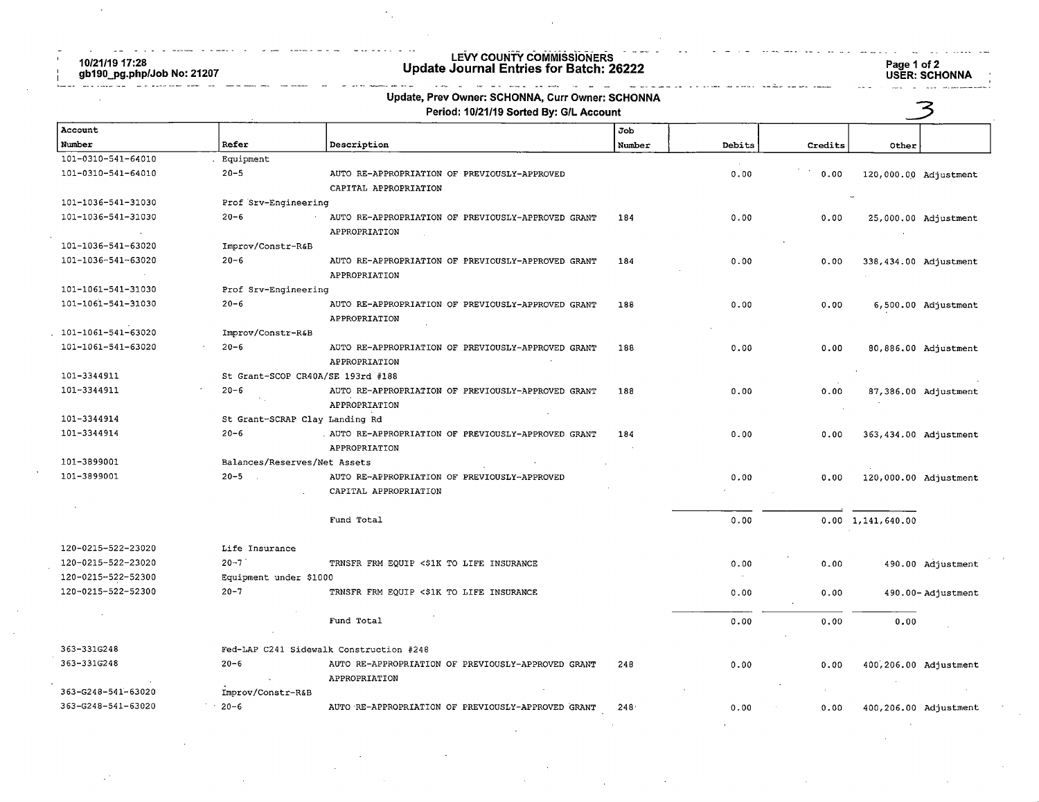$\sim$ 

10/21/19 17:28 gb190\_pg.php/Job No: 21207

# LEVY COUNTY COWIIWISSIONERS Update Journal Entries for Batch: 26222 Page 1 of 2

Page 1 of 2<br>USER: SCHONNA

|                    |                                   | Update, Prev Owner: SCHONNA, Curr Owner: SCHONNA<br>Period: 10/21/19 Sorted By: G/L Account |        |        |         |                           |                       |
|--------------------|-----------------------------------|---------------------------------------------------------------------------------------------|--------|--------|---------|---------------------------|-----------------------|
| Account            |                                   |                                                                                             | Job    |        |         |                           |                       |
| Number             | Refer                             | Description                                                                                 | Number | Debits | Credits | Other                     |                       |
| 101-0310-541-64010 | Equipment                         |                                                                                             |        |        |         |                           |                       |
| 101-0310-541-64010 | $20 - 5$                          | AUTO RE-APPROPRIATION OF PREVIOUSLY-APPROVED<br>CAPITAL APPROPRIATION                       |        | 0.00   | 0.00    |                           | 120,000.00 Adjustment |
| 101-1036-541-31030 | Prof Srv-Engineering              |                                                                                             |        |        |         |                           |                       |
| 101-1036-541-31030 | $20 - 6$                          | AUTO RE-APPROPRIATION OF PREVIOUSLY-APPROVED GRANT                                          | 184    | 0.00   | 0.00    |                           | 25,000.00 Adjustment  |
|                    |                                   | APPROPRIATION                                                                               |        |        |         |                           |                       |
| 101-1036-541-63020 | Improv/Constr-R&B                 |                                                                                             |        |        |         |                           |                       |
| 101-1036-541-63020 | $20 - 6$                          | AUTO RE-APPROPRIATION OF PREVIOUSLY-APPROVED GRANT<br>APPROPRIATION                         | 184    | 0.00   | 0.00    |                           | 338,434.00 Adjustment |
| 101-1061-541-31030 | Prof Srv-Engineering              |                                                                                             |        |        |         |                           |                       |
| 101-1061-541-31030 | $20 - 6$                          | AUTO RE-APPROPRIATION OF PREVIOUSLY-APPROVED GRANT<br>APPROPRIATION                         | 188    | 0.00   | 0.00    |                           | 6,500.00 Adjustment   |
| 101-1061-541-63020 | Improv/Constr-R&B                 |                                                                                             |        |        |         |                           |                       |
| 101-1061-541-63020 | $20 - 6$                          | AUTO RE-APPROPRIATION OF PREVIOUSLY-APPROVED GRANT<br>APPROPRIATION                         | 188    | 0.00   | 0.00    |                           | 80,886.00 Adjustment  |
| 101-3344911        | St Grant-SCOP CR40A/SE 193rd #188 |                                                                                             |        |        |         |                           |                       |
| 101-3344911        | $20 - 6$                          | AUTO RE-APPROPRIATION OF PREVIOUSLY-APPROVED GRANT<br>APPROPRIATION                         | 188    | 0.00   | 0.00    |                           | 87,386.00 Adjustment  |
| 101-3344914        |                                   | St Grant-SCRAP Clay Landing Rd                                                              |        |        |         |                           |                       |
| 101-3344914        | $20 - 6$                          | AUTO RE-APPROPRIATION OF PREVIOUSLY-APPROVED GRANT<br>APPROPRIATION                         | 184    | 0.00   | 0.00    |                           | 363,434.00 Adjustment |
| 101-3899001        | Balances/Reserves/Net Assets      |                                                                                             |        |        |         |                           |                       |
| 101-3899001        | $20 - 5$                          | AUTO RE-APPROPRIATION OF PREVIOUSLY-APPROVED<br>CAPITAL APPROPRIATION                       |        | 0.00   | 0.00    |                           | 120,000.00 Adjustment |
|                    |                                   |                                                                                             |        |        |         |                           |                       |
|                    |                                   | Fund Total                                                                                  |        | 0.00   |         | $0.00 \quad 1,141,640.00$ |                       |
| 120-0215-522-23020 | Life Insurance                    |                                                                                             |        |        |         |                           |                       |
| 120-0215-522-23020 | $20 - 7$                          | TRNSFR FRM EQUIP <\$1K TO LIFE INSURANCE                                                    |        | 0.00   | 0.00    |                           | 490.00 Adjustment     |
| 120-0215-522-52300 | Equipment under \$1000            |                                                                                             |        |        |         |                           |                       |
| 120-0215-522-52300 | $20 - 7$                          | TRNSFR FRM EQUIP <\$1K TO LIFE INSURANCE                                                    |        | 0.00   | 0.00    |                           | 490.00-Adjustment     |
|                    |                                   | Fund Total                                                                                  |        | 0.00   | 0.00    | 0.00                      |                       |
| 363-331G248        |                                   | Fed-LAP C241 Sidewalk Construction #248                                                     |        |        |         |                           |                       |
| 363-331G248        | $20 - 6$                          | AUTO RE-APPROPRIATION OF PREVIOUSLY-APPROVED GRANT<br>APPROPRIATION                         | 248    | 0.00   | 0.00    |                           | 400,206.00 Adjustment |
| 363-G248-541-63020 | Improv/Constr-R&B                 |                                                                                             |        |        |         |                           |                       |
| 363-G248-541-63020 | $20 - 6$                          | AUTO RE-APPROPRIATION OF PREVIOUSLY-APPROVED GRANT                                          | 248    | 0.00   | 0.00    |                           | 400,206.00 Adjustment |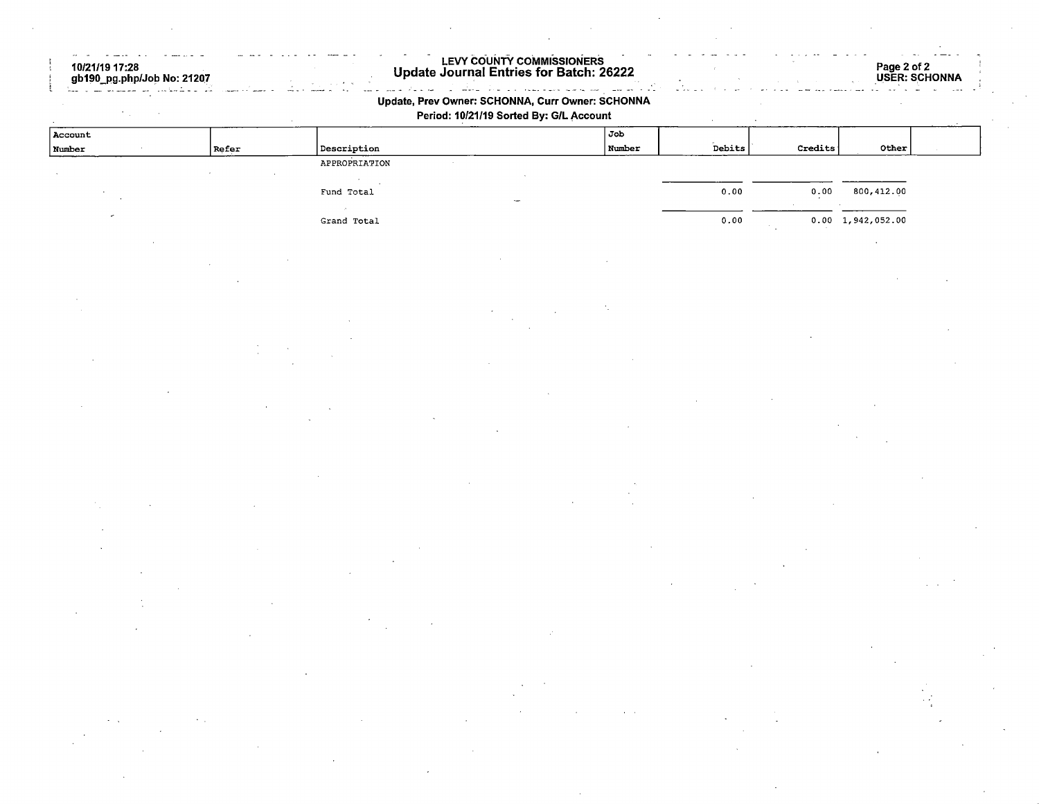| 10/21/19 17:28<br>gb190_pg.php/Job No: 21207 |       |                     | LEVY COUNTY COMMISSIONERS<br>Update Journal Entries for Batch: 26222                        |        |        |         |                           | Page 2 of 2<br>USER: SCHONNA |
|----------------------------------------------|-------|---------------------|---------------------------------------------------------------------------------------------|--------|--------|---------|---------------------------|------------------------------|
|                                              |       |                     | Update, Prev Owner: SCHONNA, Curr Owner: SCHONNA<br>Period: 10/21/19 Sorted By: G/L Account |        |        |         |                           |                              |
| Account                                      |       |                     |                                                                                             | Job    |        |         |                           |                              |
| Number                                       | Refer | ${\bf Description}$ |                                                                                             | Number | Debits | Credits | Other                     |                              |
|                                              |       | APPROPRIATION       |                                                                                             |        |        |         |                           |                              |
|                                              |       | Fund Total          |                                                                                             |        | 0.00   | 0.00    | 800,412.00                |                              |
|                                              |       |                     |                                                                                             |        |        |         |                           |                              |
|                                              |       | Grand Total         |                                                                                             |        | 0.00   |         | $0.00 \quad 1,942,052.00$ |                              |
|                                              |       |                     |                                                                                             |        |        |         |                           |                              |
|                                              |       |                     |                                                                                             |        |        |         |                           |                              |
|                                              |       |                     |                                                                                             |        |        |         |                           |                              |
|                                              |       |                     |                                                                                             |        |        |         |                           |                              |
|                                              |       |                     |                                                                                             |        |        |         |                           |                              |
|                                              |       |                     |                                                                                             |        |        |         |                           |                              |
|                                              |       |                     |                                                                                             |        |        |         |                           |                              |
|                                              |       |                     |                                                                                             |        |        |         |                           |                              |
|                                              |       |                     |                                                                                             |        |        |         |                           |                              |
|                                              |       |                     |                                                                                             |        |        |         |                           |                              |
|                                              |       |                     |                                                                                             |        |        |         |                           |                              |
|                                              |       |                     |                                                                                             |        |        |         |                           |                              |
|                                              |       |                     |                                                                                             |        |        |         |                           |                              |
|                                              |       |                     |                                                                                             |        |        |         |                           |                              |
|                                              |       |                     |                                                                                             |        |        |         |                           |                              |
|                                              |       |                     |                                                                                             |        |        |         |                           |                              |
|                                              |       |                     |                                                                                             |        |        |         |                           |                              |
|                                              |       |                     |                                                                                             |        |        |         |                           |                              |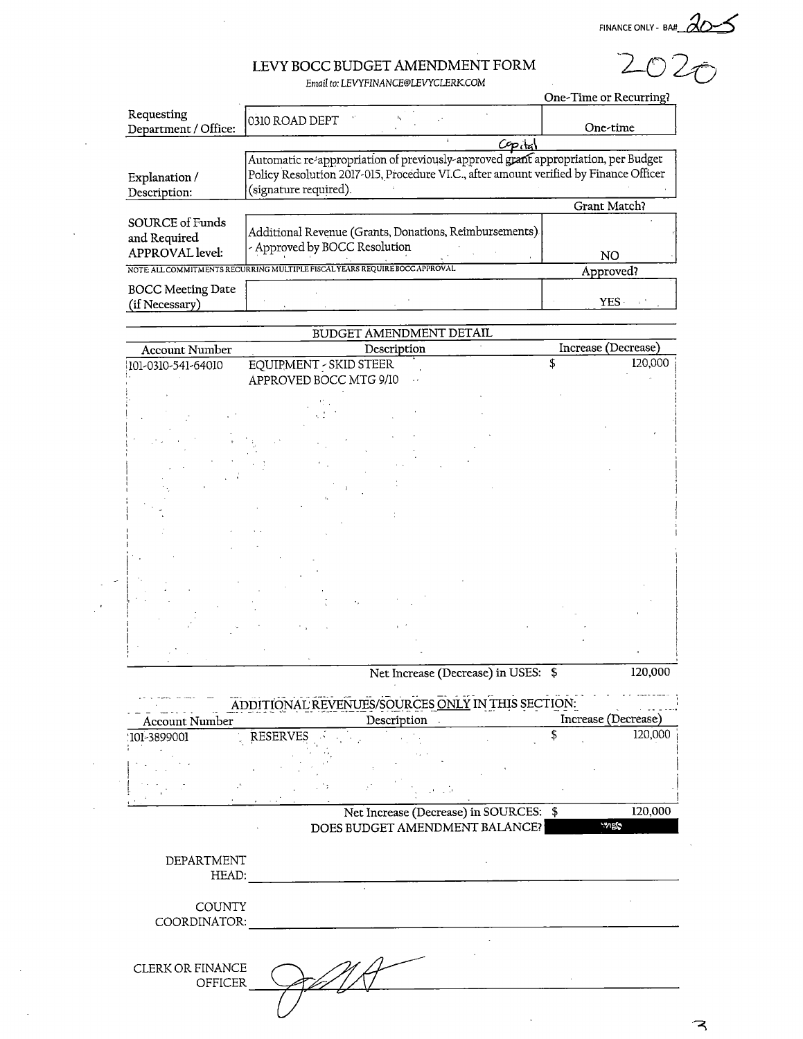FINANCE ONLY- BA#

 $202<sub>O</sub>$ 

## LEVY BOCC BUDGET AMENDMENT FORM

Email to: LEVYFINANCE@LEVYCLERK.COM

|                                                    |                                                                                                                                                                                                     | One-Time or Recurring? |
|----------------------------------------------------|-----------------------------------------------------------------------------------------------------------------------------------------------------------------------------------------------------|------------------------|
| Requesting<br>Department / Office:                 | 0310 ROAD DEPT                                                                                                                                                                                      | One-time               |
|                                                    | $C$ p <sub>cta</sub>                                                                                                                                                                                |                        |
| Explanation /<br>Description:                      | Automatic re-appropriation of previously-approved grant appropriation, per Budget<br>Policy Resolution 2017-015, Procedure VI.C., after amount verified by Finance Officer<br>(signature required). |                        |
|                                                    |                                                                                                                                                                                                     | Grant Match?           |
| SOURCE of Funds<br>and Required<br>APPROVAL level: | Additional Revenue (Grants, Donations, Reimbursements).<br>- Approved by BOCC Resolution                                                                                                            | NO.                    |
|                                                    | NOTE ALL COMMITMENTS RECURRING MULTIPLE FISCAL YEARS REQUIRE BOCC APPROVAL                                                                                                                          | Approved?              |
| <b>BOCC Meeting Date</b><br>(if Necessary)         |                                                                                                                                                                                                     | <b>YES</b>             |

|                       | BUDGET AMENDMENT DETAIL                                           |                     |
|-----------------------|-------------------------------------------------------------------|---------------------|
| <b>Account Number</b> | Description                                                       | Increase (Decrease) |
| 101-0310-541-64010    | EQUIPMENT - SKID STEER<br>APPROVED BOCC MTG 9/10<br>$\sim$ $\sim$ | 120,000<br>\$       |
|                       |                                                                   |                     |
|                       |                                                                   |                     |
|                       |                                                                   |                     |
|                       |                                                                   |                     |
|                       | ٠,                                                                |                     |
|                       |                                                                   |                     |

Net Increase (Decrease) in USES: \$ 120,000

| <b>Account Number</b><br>101-3899001<br>DEPARTMENT | <b>RESERVES</b> |  | Net Increase (Decrease) in SOURCES: \$<br>DOES BUDGET AMENDMENT BALANCE? | 120,000<br>120,000<br><b>MES</b> |
|----------------------------------------------------|-----------------|--|--------------------------------------------------------------------------|----------------------------------|
|                                                    |                 |  |                                                                          |                                  |
|                                                    |                 |  |                                                                          |                                  |
|                                                    |                 |  |                                                                          |                                  |
|                                                    |                 |  |                                                                          |                                  |
|                                                    |                 |  |                                                                          |                                  |
|                                                    |                 |  |                                                                          |                                  |
|                                                    |                 |  |                                                                          |                                  |
| HEAD:                                              |                 |  |                                                                          |                                  |
|                                                    |                 |  |                                                                          |                                  |
| <b>COUNTY</b>                                      |                 |  |                                                                          |                                  |
| COORDINATOR:                                       |                 |  |                                                                          |                                  |
|                                                    |                 |  |                                                                          |                                  |
|                                                    |                 |  |                                                                          |                                  |
| <b>CLERK OR FINANCE</b>                            |                 |  |                                                                          |                                  |
| OFFICER                                            |                 |  |                                                                          |                                  |
|                                                    |                 |  |                                                                          |                                  |

ス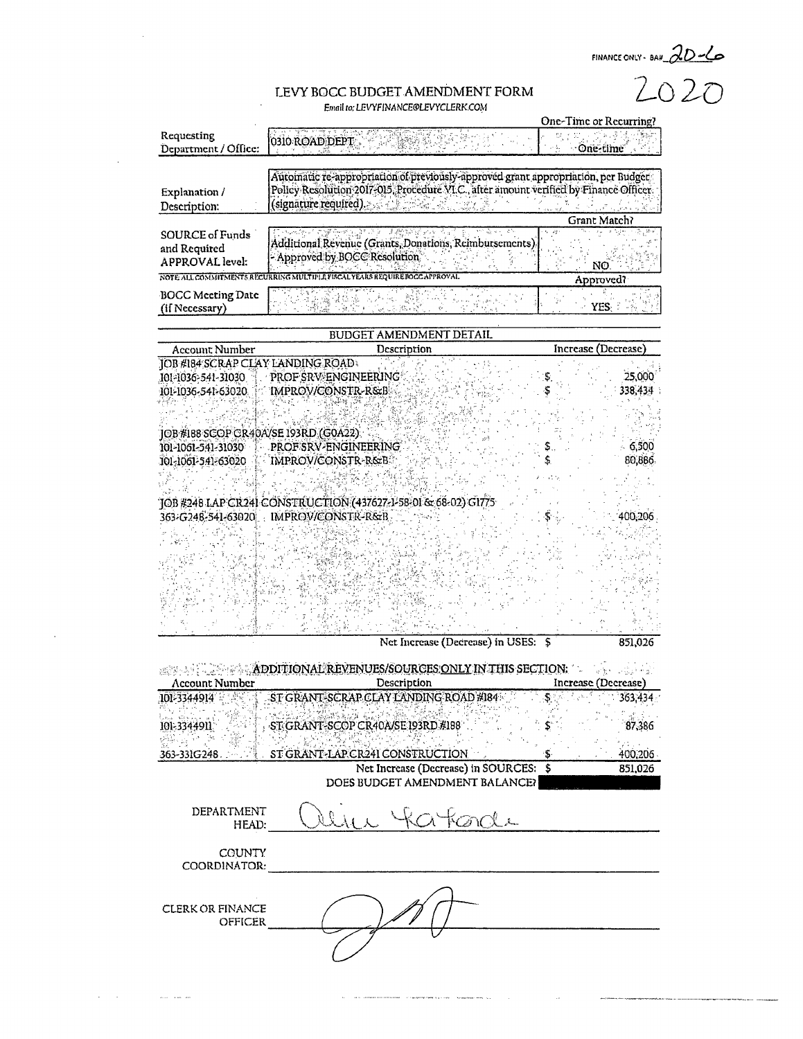FINANCE ONLY- BAY  $2D-6$ 

#### LEVY BOCC BUDGET AMENDMENT FORM Email to: LEVYFINANCE@LEVYCLERK.COM

|                                                           |                                                                                                                                                                                                       | One-Time or Recurring?                                                      |
|-----------------------------------------------------------|-------------------------------------------------------------------------------------------------------------------------------------------------------------------------------------------------------|-----------------------------------------------------------------------------|
| Requesting<br>Department / Office:                        | 0310 ROAD DEPT                                                                                                                                                                                        | One-time                                                                    |
| Explanation /<br>Description:                             | Autoinatic re-appropriation of previously-approved grant appropriation, per Budget<br>Policy Resolution 2017-015. Procedure VI.C., after amount verified by Finance Officer.<br>(signature required). |                                                                             |
|                                                           |                                                                                                                                                                                                       | Grant Match?                                                                |
| SOURCE of Funds<br>and Required<br><b>APPROVAL</b> level: | naste i 1930-e p. 152<br>ALC: Y<br>Additional Revenue (Grants, Donations, Reimbursements),<br>- Approved by BOCC Resolution                                                                           | $\kappa_{\rm B}$ , and $\kappa_{\rm B}$ in the special Result<br>- in<br>NO |
|                                                           | NOTE ALL COMMITMENTS RECURRING MULTIPLE FISCAL YEARS REQUIRE BOCC APPROVAL                                                                                                                            | Approved?                                                                   |
| <b>BOCC Meeting Date</b><br>(if Necessary)                |                                                                                                                                                                                                       |                                                                             |

#### **BUDGET AMENDMENT DETAIL**

| Account Number                        | Description                                                    | Increase (Decrease) |
|---------------------------------------|----------------------------------------------------------------|---------------------|
| JOB #184 SCRAP CLAY LANDING ROAD      |                                                                |                     |
| 101-1036-541-31030                    | PROF SRV ENGINEERING                                           | 25,000              |
| 101-1036-541-63020.                   | IMPROV/CONSTR-R&B                                              | 338,434             |
|                                       |                                                                |                     |
| JOB #188 SCOP CR40A/SE 193RD (G0A22). |                                                                |                     |
| 101-1061-541-31030                    | PROF SRV-ENGINEERING                                           | 6,500               |
| 101-1061-541-63020                    | IMPROV/CONSTR-R&B                                              | 80,886              |
|                                       |                                                                |                     |
|                                       |                                                                |                     |
|                                       | TOB #248 LAP CR241 CONSTRUCTION (437627-1-58-01 & 68-02) G17/5 |                     |
|                                       | 363-G248-541-63020 IMPROV/CONSTR-R&B                           | 400,206             |
|                                       |                                                                |                     |
|                                       |                                                                |                     |
|                                       |                                                                |                     |
|                                       |                                                                |                     |
|                                       |                                                                |                     |
|                                       |                                                                |                     |
|                                       |                                                                |                     |
|                                       | Net Increase (Decrease) in USES: \$                            | 851,026             |

**EXAMPLE APDITIONAL REVENUES/SOURCES ONLY IN THIS SECTION:**  $\frac{1}{\left\| \mathcal{C}_{\mathcal{B}}^{\mathcal{A}} \mathcal{C}_{\mathcal{A}} \mathcal{C}_{\mathcal{A}} \mathcal{C}_{\mathcal{A}} \mathcal{C}_{\mathcal{A}} \mathcal{C}_{\mathcal{A}} \mathcal{C}_{\mathcal{A}} \mathcal{C}_{\mathcal{A}} \mathcal{C}_{\mathcal{A}} \mathcal{C}_{\mathcal{A}} \mathcal{C}_{\mathcal{A}} \mathcal{C}_{\mathcal{A}} \mathcal{C}_{\mathcal{A}} \mathcal{C}_{\mathcal{A}} \mathcal{C}_{\mathcal{A}} \mathcal{C}_{\mathcal{A}} \mathcal{C}_{\mathcal{A}}$ **Account Number** Description Increase (Decrease) ST GRANT-SCRAP CLAY LANDING ROAD #184 101-3344914  $363,434$ \$. 101-3344911 ST GRANT-SCOP CR40A/SE 193RD #188 87,386 28 \$ ST GRANT-LAP CR241 CONSTRUCTION 400,206 363-331G248 S Net Increase (Decrease) in SOURCES: \$ 851,026

DOES BUDGET AMENDMENT BALANCER

DEPARTMENT HEAD:

NN

COUNTY COORDINATOR:

CLERK OR FINANCE **OFFICER** 

المروان المنتفر